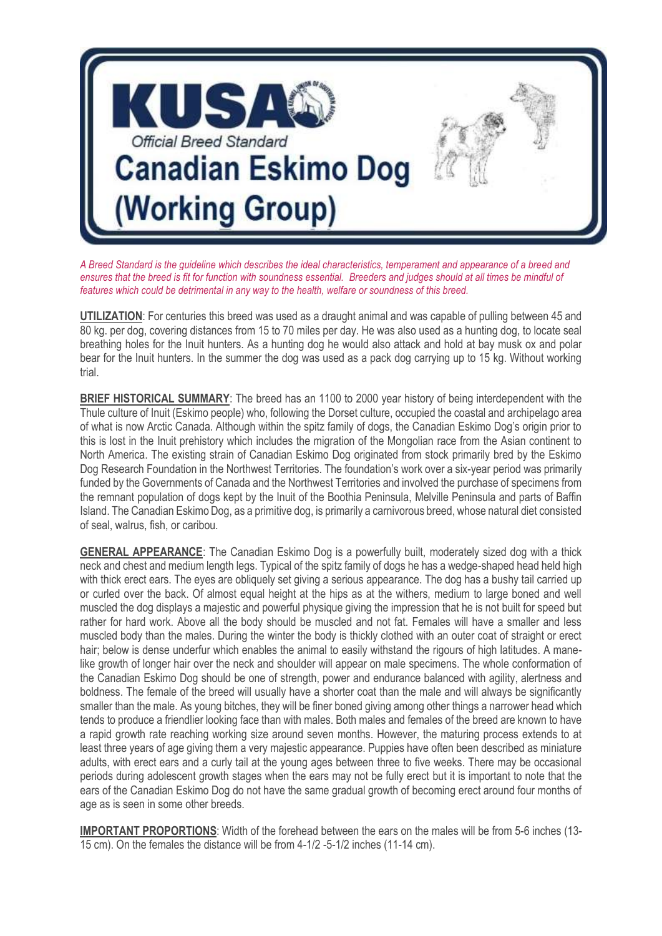

*A Breed Standard is the guideline which describes the ideal characteristics, temperament and appearance of a breed and ensures that the breed is fit for function with soundness essential. Breeders and judges should at all times be mindful of features which could be detrimental in any way to the health, welfare or soundness of this breed.*

**UTILIZATION**: For centuries this breed was used as a draught animal and was capable of pulling between 45 and 80 kg. per dog, covering distances from 15 to 70 miles per day. He was also used as a hunting dog, to locate seal breathing holes for the Inuit hunters. As a hunting dog he would also attack and hold at bay musk ox and polar bear for the Inuit hunters. In the summer the dog was used as a pack dog carrying up to 15 kg. Without working trial.

**BRIEF HISTORICAL SUMMARY**: The breed has an 1100 to 2000 year history of being interdependent with the Thule culture of Inuit (Eskimo people) who, following the Dorset culture, occupied the coastal and archipelago area of what is now Arctic Canada. Although within the spitz family of dogs, the Canadian Eskimo Dog's origin prior to this is lost in the Inuit prehistory which includes the migration of the Mongolian race from the Asian continent to North America. The existing strain of Canadian Eskimo Dog originated from stock primarily bred by the Eskimo Dog Research Foundation in the Northwest Territories. The foundation's work over a six-year period was primarily funded by the Governments of Canada and the Northwest Territories and involved the purchase of specimens from the remnant population of dogs kept by the Inuit of the Boothia Peninsula, Melville Peninsula and parts of Baffin Island. The Canadian Eskimo Dog, as a primitive dog, is primarily a carnivorous breed, whose natural diet consisted of seal, walrus, fish, or caribou.

**GENERAL APPEARANCE**: The Canadian Eskimo Dog is a powerfully built, moderately sized dog with a thick neck and chest and medium length legs. Typical of the spitz family of dogs he has a wedge-shaped head held high with thick erect ears. The eyes are obliquely set giving a serious appearance. The dog has a bushy tail carried up or curled over the back. Of almost equal height at the hips as at the withers, medium to large boned and well muscled the dog displays a majestic and powerful physique giving the impression that he is not built for speed but rather for hard work. Above all the body should be muscled and not fat. Females will have a smaller and less muscled body than the males. During the winter the body is thickly clothed with an outer coat of straight or erect hair; below is dense underfur which enables the animal to easily withstand the rigours of high latitudes. A manelike growth of longer hair over the neck and shoulder will appear on male specimens. The whole conformation of the Canadian Eskimo Dog should be one of strength, power and endurance balanced with agility, alertness and boldness. The female of the breed will usually have a shorter coat than the male and will always be significantly smaller than the male. As young bitches, they will be finer boned giving among other things a narrower head which tends to produce a friendlier looking face than with males. Both males and females of the breed are known to have a rapid growth rate reaching working size around seven months. However, the maturing process extends to at least three years of age giving them a very majestic appearance. Puppies have often been described as miniature adults, with erect ears and a curly tail at the young ages between three to five weeks. There may be occasional periods during adolescent growth stages when the ears may not be fully erect but it is important to note that the ears of the Canadian Eskimo Dog do not have the same gradual growth of becoming erect around four months of age as is seen in some other breeds.

**IMPORTANT PROPORTIONS**: Width of the forehead between the ears on the males will be from 5-6 inches (13- 15 cm). On the females the distance will be from 4-1/2 -5-1/2 inches (11-14 cm).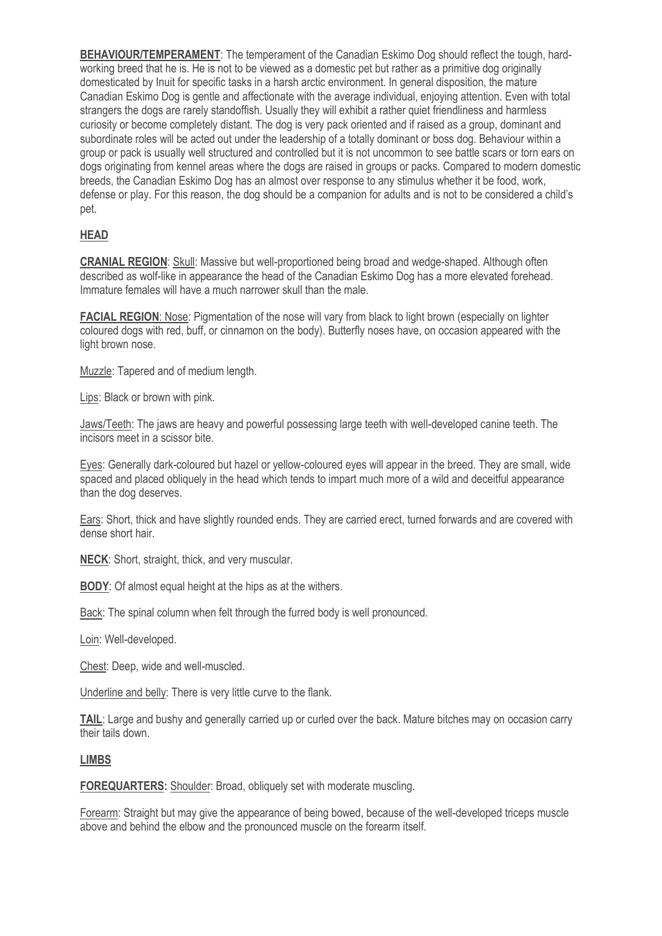**BEHAVIOUR/TEMPERAMENT**: The temperament of the Canadian Eskimo Dog should reflect the tough, hardworking breed that he is. He is not to be viewed as a domestic pet but rather as a primitive dog originally domesticated by Inuit for specific tasks in a harsh arctic environment. In general disposition, the mature Canadian Eskimo Dog is gentle and affectionate with the average individual, enjoying attention. Even with total strangers the dogs are rarely standoffish. Usually they will exhibit a rather quiet friendliness and harmless curiosity or become completely distant. The dog is very pack oriented and if raised as a group, dominant and subordinate roles will be acted out under the leadership of a totally dominant or boss dog. Behaviour within a group or pack is usually well structured and controlled but it is not uncommon to see battle scars or torn ears on dogs originating from kennel areas where the dogs are raised in groups or packs. Compared to modern domestic breeds, the Canadian Eskimo Dog has an almost over response to any stimulus whether it be food, work, defense or play. For this reason, the dog should be a companion for adults and is not to be considered a child's pet.

## **HEAD**

**CRANIAL REGION**: Skull: Massive but well-proportioned being broad and wedge-shaped. Although often described as wolf-like in appearance the head of the Canadian Eskimo Dog has a more elevated forehead. Immature females will have a much narrower skull than the male.

**FACIAL REGION:** Nose: Pigmentation of the nose will vary from black to light brown (especially on lighter coloured dogs with red, buff, or cinnamon on the body). Butterfly noses have, on occasion appeared with the light brown nose.

Muzzle: Tapered and of medium length.

Lips: Black or brown with pink.

Jaws/Teeth: The jaws are heavy and powerful possessing large teeth with well-developed canine teeth. The incisors meet in a scissor bite.

Eyes: Generally dark-coloured but hazel or yellow-coloured eyes will appear in the breed. They are small, wide spaced and placed obliquely in the head which tends to impart much more of a wild and deceitful appearance than the dog deserves.

Ears: Short, thick and have slightly rounded ends. They are carried erect, turned forwards and are covered with dense short hair.

**NECK**: Short, straight, thick, and very muscular.

**BODY**: Of almost equal height at the hips as at the withers.

Back: The spinal column when felt through the furred body is well pronounced.

Loin: Well-developed.

Chest: Deep, wide and well-muscled.

Underline and belly: There is very little curve to the flank.

**TAIL**: Large and bushy and generally carried up or curled over the back. Mature bitches may on occasion carry their tails down.

## **LIMBS**

**FOREQUARTERS:** Shoulder: Broad, obliquely set with moderate muscling.

Forearm: Straight but may give the appearance of being bowed, because of the well-developed triceps muscle above and behind the elbow and the pronounced muscle on the forearm itself.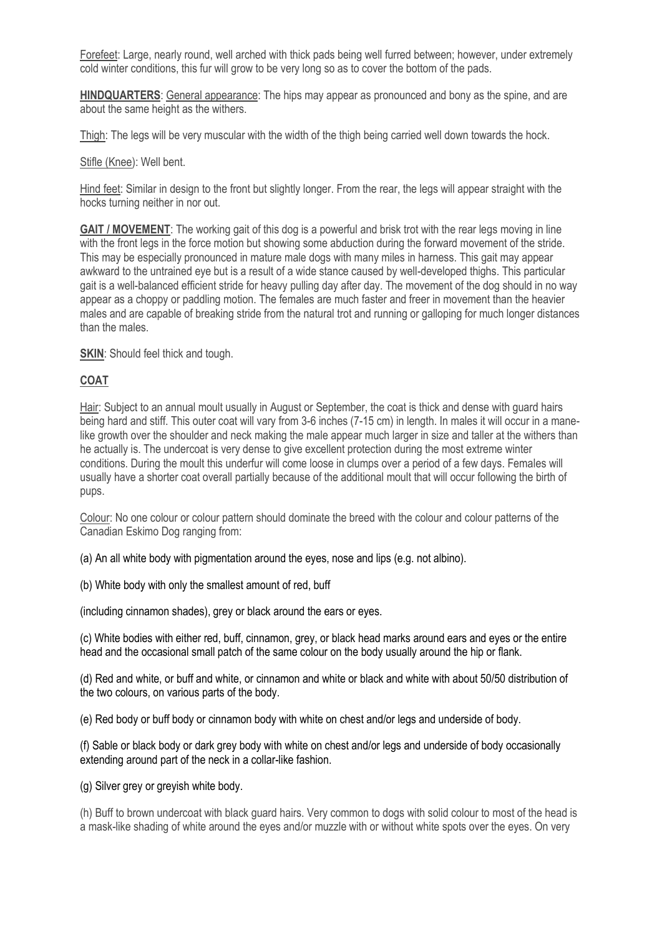Forefeet: Large, nearly round, well arched with thick pads being well furred between; however, under extremely cold winter conditions, this fur will grow to be very long so as to cover the bottom of the pads.

**HINDQUARTERS**: General appearance: The hips may appear as pronounced and bony as the spine, and are about the same height as the withers.

Thigh: The legs will be very muscular with the width of the thigh being carried well down towards the hock.

Stifle (Knee): Well bent.

Hind feet: Similar in design to the front but slightly longer. From the rear, the legs will appear straight with the hocks turning neither in nor out.

**GAIT / MOVEMENT:** The working gait of this dog is a powerful and brisk trot with the rear legs moving in line with the front legs in the force motion but showing some abduction during the forward movement of the stride. This may be especially pronounced in mature male dogs with many miles in harness. This gait may appear awkward to the untrained eye but is a result of a wide stance caused by well-developed thighs. This particular gait is a well-balanced efficient stride for heavy pulling day after day. The movement of the dog should in no way appear as a choppy or paddling motion. The females are much faster and freer in movement than the heavier males and are capable of breaking stride from the natural trot and running or galloping for much longer distances than the males.

**SKIN:** Should feel thick and tough.

#### **COAT**

Hair: Subject to an annual moult usually in August or September, the coat is thick and dense with guard hairs being hard and stiff. This outer coat will vary from 3-6 inches (7-15 cm) in length. In males it will occur in a manelike growth over the shoulder and neck making the male appear much larger in size and taller at the withers than he actually is. The undercoat is very dense to give excellent protection during the most extreme winter conditions. During the moult this underfur will come loose in clumps over a period of a few days. Females will usually have a shorter coat overall partially because of the additional moult that will occur following the birth of pups.

Colour: No one colour or colour pattern should dominate the breed with the colour and colour patterns of the Canadian Eskimo Dog ranging from:

(a) An all white body with pigmentation around the eyes, nose and lips (e.g. not albino).

(b) White body with only the smallest amount of red, buff

(including cinnamon shades), grey or black around the ears or eyes.

(c) White bodies with either red, buff, cinnamon, grey, or black head marks around ears and eyes or the entire head and the occasional small patch of the same colour on the body usually around the hip or flank.

(d) Red and white, or buff and white, or cinnamon and white or black and white with about 50/50 distribution of the two colours, on various parts of the body.

(e) Red body or buff body or cinnamon body with white on chest and/or legs and underside of body.

(f) Sable or black body or dark grey body with white on chest and/or legs and underside of body occasionally extending around part of the neck in a collar-like fashion.

(g) Silver grey or greyish white body.

(h) Buff to brown undercoat with black guard hairs. Very common to dogs with solid colour to most of the head is a mask-like shading of white around the eyes and/or muzzle with or without white spots over the eyes. On very